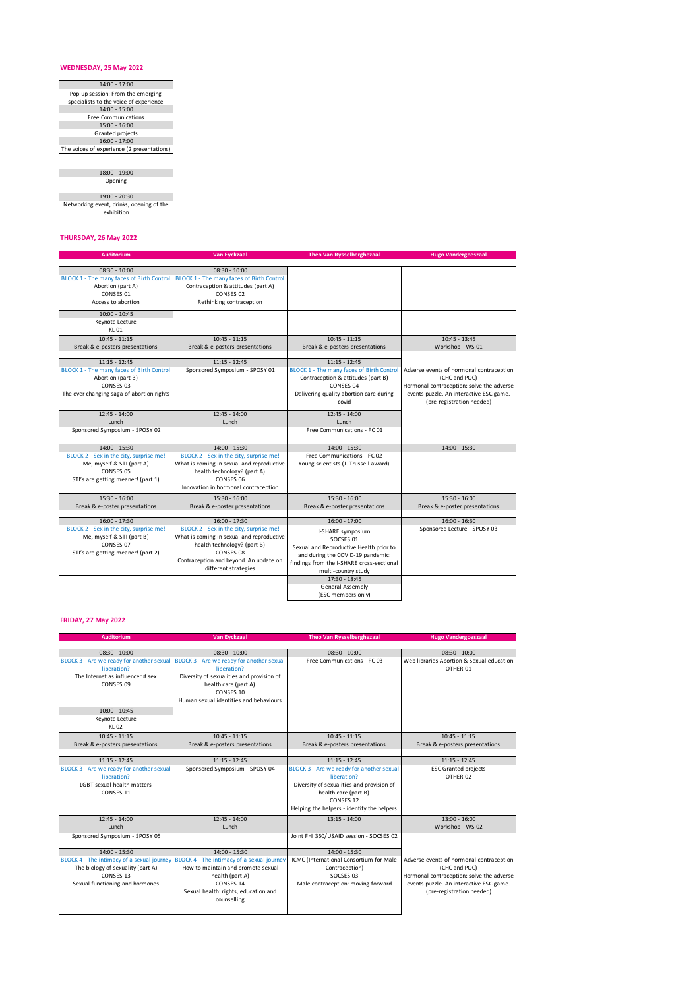## **WEDNESDAY, 25 May 2022**

| $14:00 - 17:00$                            |
|--------------------------------------------|
| Pop-up session: From the emerging          |
| specialists to the voice of experience     |
| $14:00 - 15:00$                            |
| <b>Free Communications</b>                 |
| $15:00 - 16:00$                            |
| <b>Granted projects</b>                    |
| $16:00 - 17:00$                            |
| The voices of experience (2 presentations) |
|                                            |

| $18:00 - 19:00$                          |
|------------------------------------------|
| Opening                                  |
|                                          |
| $19:00 - 20:30$                          |
| Networking event, drinks, opening of the |
| exhibition                               |

## **THURSDAY, 26 May 2022**

| <b>Auditorium</b>                                                                                                                           | <b>Van Eyckzaal</b>                                                                                                                                                                                                   | <b>Theo Van Rysselberghezaal</b>                                                                                                                                                                                                           | <b>Hugo Vandergoeszaal</b>                                                                                                                                                     |
|---------------------------------------------------------------------------------------------------------------------------------------------|-----------------------------------------------------------------------------------------------------------------------------------------------------------------------------------------------------------------------|--------------------------------------------------------------------------------------------------------------------------------------------------------------------------------------------------------------------------------------------|--------------------------------------------------------------------------------------------------------------------------------------------------------------------------------|
|                                                                                                                                             |                                                                                                                                                                                                                       |                                                                                                                                                                                                                                            |                                                                                                                                                                                |
| $08:30 - 10:00$<br>BLOCK 1 - The many faces of Birth Control<br>Abortion (part A)<br>CONSES 01<br>Access to abortion                        | $08:30 - 10:00$<br>BLOCK 1 - The many faces of Birth Control<br>Contraception & attitudes (part A)<br>CONSES 02<br>Rethinking contraception                                                                           |                                                                                                                                                                                                                                            |                                                                                                                                                                                |
| $10:00 - 10:45$<br>Keynote Lecture<br>KL 01                                                                                                 |                                                                                                                                                                                                                       |                                                                                                                                                                                                                                            |                                                                                                                                                                                |
| $10:45 - 11:15$<br>Break & e-posters presentations                                                                                          | $10:45 - 11:15$<br>Break & e-posters presentations                                                                                                                                                                    | $10:45 - 11:15$<br>Break & e-posters presentations                                                                                                                                                                                         | $10:45 - 13:45$<br>Workshop - WS 01                                                                                                                                            |
| $11:15 - 12:45$<br>BLOCK 1 - The many faces of Birth Control<br>Abortion (part B)<br>CONSES 03<br>The ever changing saga of abortion rights | $11:15 - 12:45$<br>Sponsored Symposium - SPOSY 01                                                                                                                                                                     | $11:15 - 12:45$<br><b>BLOCK 1 - The many faces of Birth Control</b><br>Contraception & attitudes (part B)<br>CONSES 04<br>Delivering quality abortion care during<br>covid                                                                 | Adverse events of hormonal contraception<br>(CHC and POC)<br>Hormonal contraception: solve the adverse<br>events puzzle. An interactive ESC game.<br>(pre-registration needed) |
| $12:45 - 14:00$<br>Lunch<br>Sponsored Symposium - SPOSY 02                                                                                  | $12:45 - 14:00$<br>Lunch                                                                                                                                                                                              | $12:45 - 14:00$<br>Lunch<br>Free Communications - FC 01                                                                                                                                                                                    |                                                                                                                                                                                |
| $14:00 - 15:30$<br>BLOCK 2 - Sex in the city, surprise me!<br>Me, myself & STI (part A)<br>CONSES 05                                        | 14:00 - 15:30<br>BLOCK 2 - Sex in the city, surprise me!<br>What is coming in sexual and reproductive<br>health technology? (part A)                                                                                  | 14:00 - 15:30<br>Free Communications - FC 02<br>Young scientists (J. Trussell award)                                                                                                                                                       | 14:00 - 15:30                                                                                                                                                                  |
| STI's are getting meaner! (part 1)                                                                                                          | CONSES 06<br>Innovation in hormonal contraception                                                                                                                                                                     |                                                                                                                                                                                                                                            |                                                                                                                                                                                |
| 15:30 - 16:00<br>Break & e-poster presentations                                                                                             | 15:30 - 16:00<br>Break & e-poster presentations                                                                                                                                                                       | $15:30 - 16:00$<br>Break & e-poster presentations                                                                                                                                                                                          | $15:30 - 16:00$<br>Break & e-poster presentations                                                                                                                              |
| $16:00 - 17:30$<br>BLOCK 2 - Sex in the city, surprise me!<br>Me, myself & STI (part B)<br>CONSES 07<br>STI's are getting meaner! (part 2)  | $16:00 - 17:30$<br>BLOCK 2 - Sex in the city, surprise me!<br>What is coming in sexual and reproductive<br>health technology? (part B)<br>CONSES 08<br>Contraception and beyond. An update on<br>different strategies | $16:00 - 17:00$<br>I-SHARE symposium<br>SOCSES 01<br>Sexual and Reproductive Health prior to<br>and during the COVID-19 pandemic:<br>findings from the I-SHARE cross-sectional<br>multi-country study<br>17:30 - 18:45<br>General Assembly | $16:00 - 16:30$<br>Sponsored Lecture - SPOSY 03                                                                                                                                |
|                                                                                                                                             |                                                                                                                                                                                                                       | (ESC members only)                                                                                                                                                                                                                         |                                                                                                                                                                                |

## **FRIDAY, 27 May 2022**

| <b>Auditorium</b>                                                                                                             | Van Eyckzaal                                                                                                                                                                                                                          | <b>Theo Van Rysselberghezaal</b>                                                                                                                                                                            | <b>Hugo Vandergoeszaal</b>                                                                                                                                                     |
|-------------------------------------------------------------------------------------------------------------------------------|---------------------------------------------------------------------------------------------------------------------------------------------------------------------------------------------------------------------------------------|-------------------------------------------------------------------------------------------------------------------------------------------------------------------------------------------------------------|--------------------------------------------------------------------------------------------------------------------------------------------------------------------------------|
| $08:30 - 10:00$                                                                                                               | $08:30 - 10:00$                                                                                                                                                                                                                       | $08:30 - 10:00$                                                                                                                                                                                             | $08:30 - 10:00$                                                                                                                                                                |
| BLOCK 3 - Are we ready for another sexual<br>liberation?<br>The Internet as influencer # sex<br>CONSES 09                     | BLOCK 3 - Are we ready for another sexual<br>liberation?<br>Diversity of sexualities and provision of<br>health care (part A)<br>CONSES 10<br>Human sexual identities and behaviours                                                  | Free Communications - FC 03                                                                                                                                                                                 | Web libraries Abortion & Sexual education<br>OTHER 01                                                                                                                          |
| $10:00 - 10:45$<br>Keynote Lecture<br><b>KL02</b>                                                                             |                                                                                                                                                                                                                                       |                                                                                                                                                                                                             |                                                                                                                                                                                |
| $10:45 - 11:15$<br>Break & e-posters presentations                                                                            | $10:45 - 11:15$<br>Break & e-posters presentations                                                                                                                                                                                    | $10:45 - 11:15$<br>Break & e-posters presentations                                                                                                                                                          | $10:45 - 11:15$<br>Break & e-posters presentations                                                                                                                             |
| $11:15 - 12:45$<br>BLOCK 3 - Are we ready for another sexual<br>liberation?<br><b>LGBT</b> sexual health matters<br>CONSES 11 | $11:15 - 12:45$<br>Sponsored Symposium - SPOSY 04                                                                                                                                                                                     | $11:15 - 12:45$<br>BLOCK 3 - Are we ready for another sexual<br>liberation?<br>Diversity of sexualities and provision of<br>health care (part B)<br>CONSES 12<br>Helping the helpers - identify the helpers | $11:15 - 12:45$<br><b>ESC Granted projects</b><br>OTHER 02                                                                                                                     |
| $12:45 - 14:00$<br>Lunch<br>Sponsored Symposium - SPOSY 05                                                                    | $12:45 - 14:00$<br>Lunch                                                                                                                                                                                                              | $13:15 - 14:00$<br>Joint FHI 360/USAID session - SOCSES 02                                                                                                                                                  | $13:00 - 16:00$<br>Workshop - WS 02                                                                                                                                            |
| $14:00 - 15:30$<br>The biology of sexuality (part A)<br>CONSES 13<br>Sexual functioning and hormones                          | $14:00 - 15:30$<br>BLOCK 4 - The intimacy of a sexual journey BLOCK 4 - The intimacy of a sexual journey<br>How to maintain and promote sexual<br>health (part A)<br>CONSES 14<br>Sexual health: rights, education and<br>counselling | $14:00 - 15:30$<br>ICMC (International Consortium for Male<br>Contraception)<br>SOCSES 03<br>Male contraception: moving forward                                                                             | Adverse events of hormonal contraception<br>(CHC and POC)<br>Hormonal contraception: solve the adverse<br>events puzzle. An interactive ESC game.<br>(pre-registration needed) |